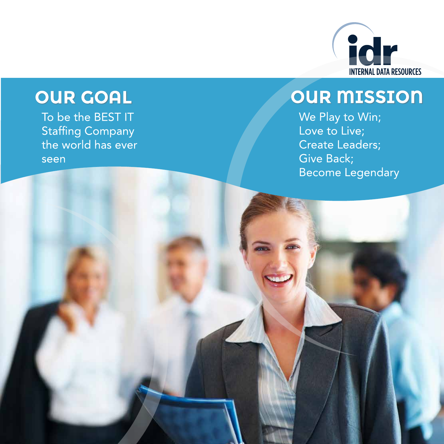

# OUR GOAL

To be the BEST IT **Staffing Company** the world has ever seen

### **OUR MISSION**

We Play to Win; Love to Live; Create Leaders; Give Back; **Become Legendary**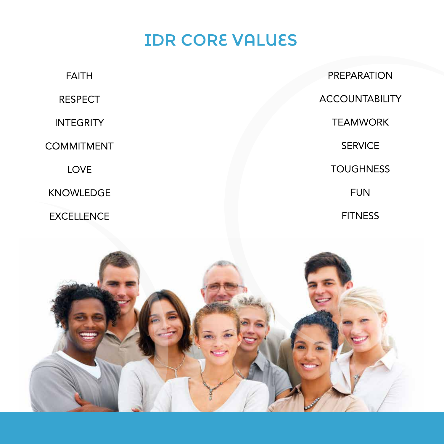## **IDR CORE VALUES**

| <b>FAITH</b>      | <b>PREPARATION</b>    |
|-------------------|-----------------------|
| <b>RESPECT</b>    | <b>ACCOUNTABILITY</b> |
| <b>INTEGRITY</b>  | <b>TEAMWORK</b>       |
| <b>COMMITMENT</b> | <b>SERVICE</b>        |
| <b>LOVE</b>       | <b>TOUGHNESS</b>      |
| <b>KNOWLEDGE</b>  | <b>FUN</b>            |
| <b>EXCELLENCE</b> | <b>FITNESS</b>        |
|                   |                       |

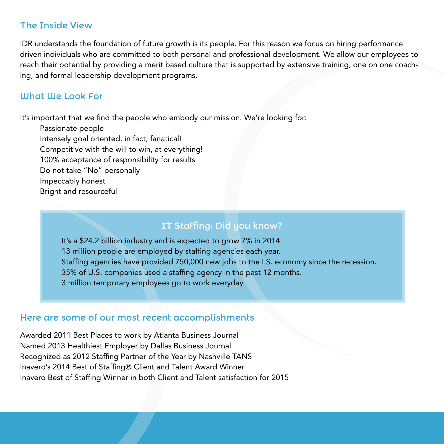#### The Inside View

IDR understands the foundation of future growth is its people. For this reason we focus on hiring performance driven individuals who are committed to both personal and professional development. We allow our employees to reach their potential by providing a merit based culture that is supported by extensive training, one on one coaching, and formal leadership development programs.

#### What We Look For

It's important that we find the people who embody our mission. We're looking for:

Passionate people Intensely goal oriented, in fact, fanatical! Competitive with the will to win, at everything! 100% acceptance of responsibility for results Do not take "No" personally Impeccably honest Bright and resourceful

#### IT Staffing: Did you know?

It's a \$24.2 billion industry and is expected to grow 7% in 2014. 13 million people are employed by staffing agencies each year. Staffing agencies have provided 750,000 new jobs to the I.S. economy since the recession. 35% of U.S. companies used a staffing agency in the past 12 months. 3 million temporary employees go to work everyday

#### Here are some of our most recent accomplishments

Awarded 2011 Best Places to work by Atlanta Business Journal Named 2013 Healthiest Employer by Dallas Business Journal Recognized as 2012 Staffing Partner of the Year by Nashville TANS Inavero's 2014 Best of Staffing® Client and Talent Award Winner Inavero Best of Staffing Winner in both Client and Talent satisfaction for 2015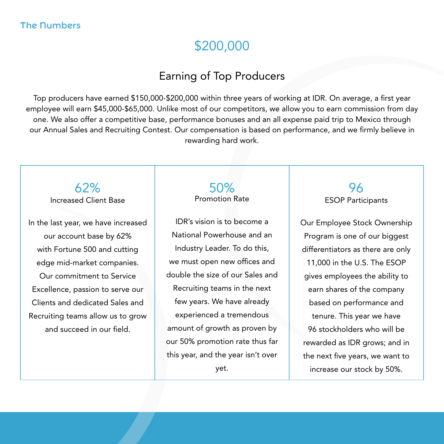#### The Numbers

### \$200,000

#### Earning of Top Producers

Top producers have earned \$150,000-\$200,000 within three years of working at IDR. On average, a first year employee will earn \$45,000-\$65,000. Unlike most of our competitors, we allow you to earn commission from day one. We also offer a competitive base, performance bonuses and an all expense paid trip to Mexico through our Annual Sales and Recruiting Contest. Our compensation is based on performance, and we firmly believe in rewarding hard work.

62% Increased Client Base

In the last year, we have increased our account base by 62% with Fortune 500 and cutting edge mid-market companies. Our commitment to Service Excellence, passion to serve our Clients and dedicated Sales and Recruiting teams allow us to grow and succeed in our field.

50% Promotion Rate

IDR's vision is to become a National Powerhouse and an Industry Leader. To do this, we must open new offices and double the size of our Sales and Recruiting teams in the next few years. We have already experienced a tremendous amount of growth as proven by our 50% promotion rate thus far this year, and the year isn't over

yet.

96 ESOP Participants

Our Employee Stock Ownership Program is one of our biggest differentiators as there are only 11,000 in the U.S. The ESOP gives employees the ability to earn shares of the company based on performance and tenure. This year we have 96 stockholders who will be rewarded as IDR grows; and in the next five years, we want to increase our stock by 50%.